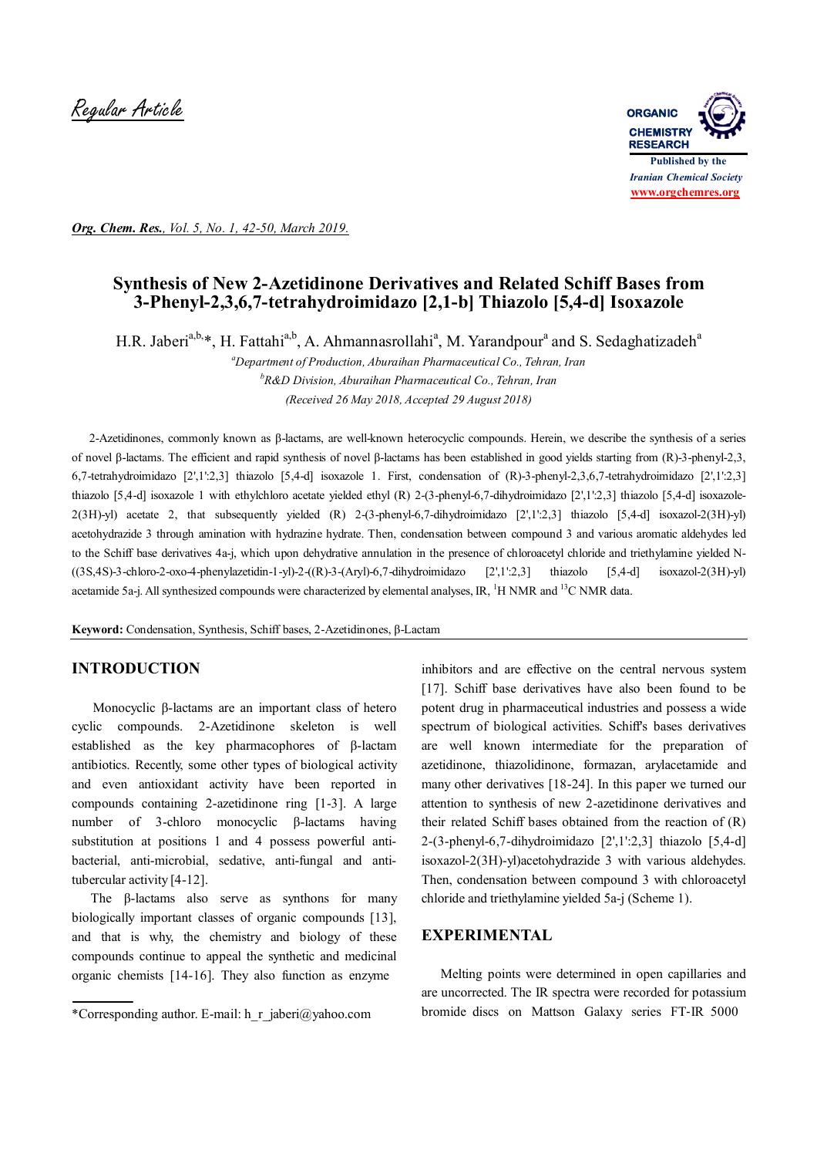

*Org. Chem. Res., Vol. 5, No. 1, 42-50, March 2019.*

# **Synthesis of New 2-Azetidinone Derivatives and Related Schiff Bases from 3-Phenyl-2,3,6,7-tetrahydroimidazo [2,1-b] Thiazolo [5,4-d] Isoxazole**

H.R. Jaberi<sup>a,b,\*</sup>, H. Fattahi<sup>a,b</sup>, A. Ahmannasrollahi<sup>a</sup>, M. Yarandpour<sup>a</sup> and S. Sedaghatizadeh<sup>a</sup>

*<sup>a</sup>Department of Production, Aburaihan Pharmaceutical Co., Tehran, Iran <sup>b</sup>R&D Division, Aburaihan Pharmaceutical Co., Tehran, Iran (Received 26 May 2018, Accepted 29 August 2018)*

 2-Azetidinones, commonly known as β-lactams, are well-known heterocyclic compounds. Herein, we describe the synthesis of a series of novel β-lactams. The efficient and rapid synthesis of novel β-lactams has been established in good yields starting from (R)-3-phenyl-2,3, 6,7-tetrahydroimidazo [2',1':2,3] thiazolo [5,4-d] isoxazole 1. First, condensation of (R)-3-phenyl-2,3,6,7-tetrahydroimidazo [2',1':2,3] thiazolo [5,4-d] isoxazole 1 with ethylchloro acetate yielded ethyl (R) 2-(3-phenyl-6,7-dihydroimidazo [2',1':2,3] thiazolo [5,4-d] isoxazole-2(3H)-yl) acetate 2, that subsequently yielded (R) 2-(3-phenyl-6,7-dihydroimidazo [2',1':2,3] thiazolo [5,4-d] isoxazol-2(3H)-yl) acetohydrazide 3 through amination with hydrazine hydrate. Then, condensation between compound 3 and various aromatic aldehydes led to the Schiff base derivatives 4a-j, which upon dehydrative annulation in the presence of chloroacetyl chloride and triethylamine yielded N-  $(3S,4S)$ -3-chloro-2-oxo-4-phenylazetidin-1-yl)-2- $($ (R)-3-(Aryl)-6,7-dihydroimidazo [2',1':2,3] thiazolo [5,4-d] isoxazol-2(3H)-yl) acetamide 5a-j. All synthesized compounds were characterized by elemental analyses, IR, <sup>1</sup>H NMR and <sup>13</sup>C NMR data.

**Keyword:** Condensation, Synthesis, Schiff bases, 2-Azetidinones, β-Lactam

### **INTRODUCTION**

 Monocyclic β-lactams are an important class of hetero cyclic compounds. 2-Azetidinone skeleton is well established as the key pharmacophores of β-lactam antibiotics. Recently, some other types of biological activity and even antioxidant activity have been reported in compounds containing 2-azetidinone ring [1-3]. A large number of 3-chloro monocyclic β-lactams having substitution at positions 1 and 4 possess powerful antibacterial, anti-microbial, sedative, anti-fungal and antitubercular activity [4-12].

 The β-lactams also serve as synthons for many biologically important classes of organic compounds [13], and that is why, the chemistry and biology of these compounds continue to appeal the synthetic and medicinal organic chemists [14-16]. They also function as enzyme

inhibitors and are effective on the central nervous system [17]. Schiff base derivatives have also been found to be potent drug in pharmaceutical industries and possess a wide spectrum of biological activities. Schiff's bases derivatives are well known intermediate for the preparation of azetidinone, thiazolidinone, formazan, arylacetamide and many other derivatives [18-24]. In this paper we turned our attention to synthesis of new 2-azetidinone derivatives and their related Schiff bases obtained from the reaction of (R) 2-(3-phenyl-6,7-dihydroimidazo [2',1':2,3] thiazolo [5,4-d] isoxazol-2(3H)-yl)acetohydrazide 3 with various aldehydes. Then, condensation between compound 3 with chloroacetyl chloride and triethylamine yielded 5a-j (Scheme 1).

### **EXPERIMENTAL**

 Melting points were determined in open capillaries and are uncorrected. The IR spectra were recorded for potassium bromide discs on Mattson Galaxy series FT‐IR 5000

<sup>\*</sup>Corresponding author. E-mail: h\_r\_jaberi@yahoo.com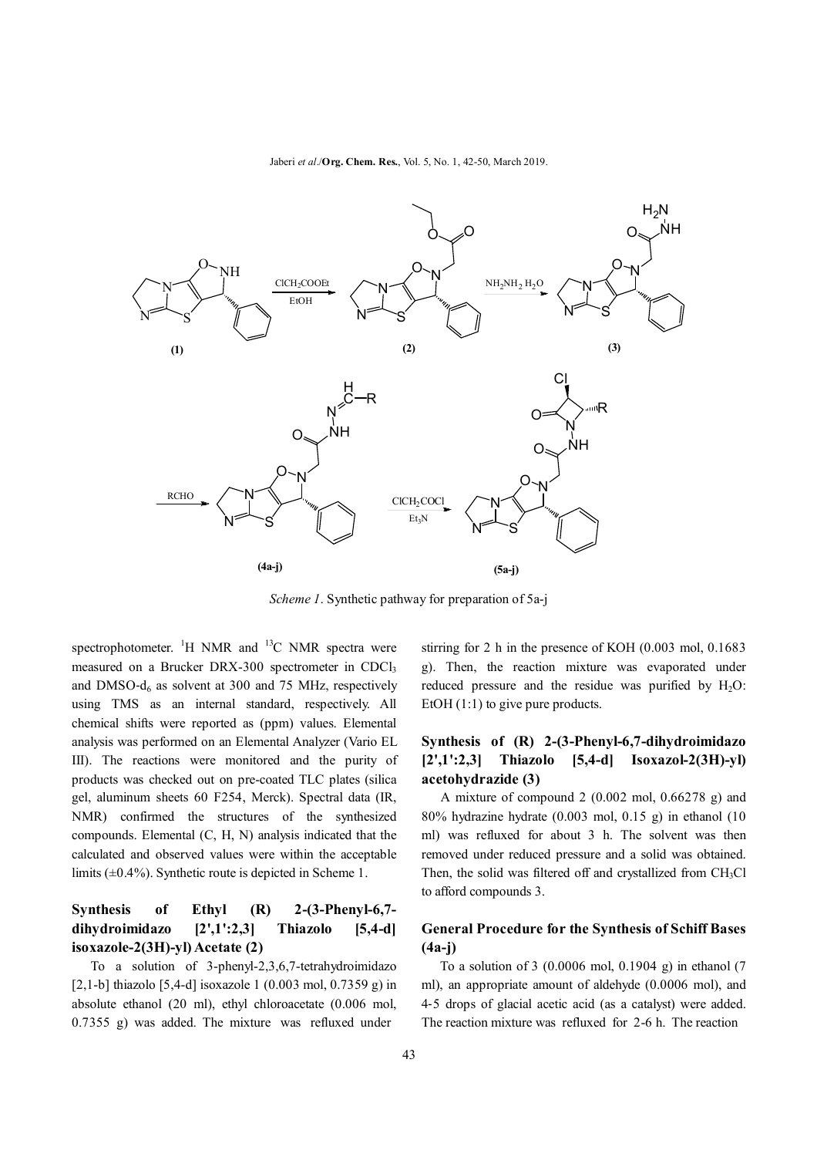Jaberi *et al*./**Org. Chem. Res.**, Vol. 5, No. 1, 42-50, March 2019.



*Scheme 1*. Synthetic pathway for preparation of 5a-j

spectrophotometer. <sup>1</sup>H NMR and <sup>13</sup>C NMR spectra were measured on a Brucker DRX-300 spectrometer in CDCl<sub>3</sub> and DMSO- $d_6$  as solvent at 300 and 75 MHz, respectively using TMS as an internal standard, respectively. All chemical shifts were reported as (ppm) values. Elemental analysis was performed on an Elemental Analyzer (Vario EL III). The reactions were monitored and the purity of products was checked out on pre-coated TLC plates (silica gel, aluminum sheets 60 F254, Merck). Spectral data (IR, NMR) confirmed the structures of the synthesized compounds. Elemental (C, H, N) analysis indicated that the calculated and observed values were within the acceptable limits (±0.4%). Synthetic route is depicted in Scheme 1.

## **Synthesis of Ethyl (R) 2-(3-Phenyl-6,7 dihydroimidazo [2',1':2,3] Thiazolo [5,4-d] isoxazole-2(3H)-yl) Acetate (2)**

 To a solution of 3-phenyl-2,3,6,7-tetrahydroimidazo [2,1-b] thiazolo  $[5,4-d]$  isoxazole 1 (0.003 mol, 0.7359 g) in absolute ethanol (20 ml), ethyl chloroacetate (0.006 mol, 0.7355 g) was added. The mixture was refluxed under

stirring for 2 h in the presence of KOH (0.003 mol, 0.1683 g). Then, the reaction mixture was evaporated under reduced pressure and the residue was purified by  $H_2O$ : EtOH  $(1:1)$  to give pure products.

### **Synthesis of (R) 2-(3-Phenyl-6,7-dihydroimidazo [2',1':2,3] Thiazolo [5,4-d] Isoxazol-2(3H)-yl) acetohydrazide (3)**

 A mixture of compound 2 (0.002 mol, 0.66278 g) and 80% hydrazine hydrate (0.003 mol, 0.15 g) in ethanol (10 ml) was refluxed for about 3 h. The solvent was then removed under reduced pressure and a solid was obtained. Then, the solid was filtered off and crystallized from  $CH<sub>3</sub>Cl$ to afford compounds 3.

### **General Procedure for the Synthesis of Schiff Bases (4a-j)**

 To a solution of 3 (0.0006 mol, 0.1904 g) in ethanol (7 ml), an appropriate amount of aldehyde (0.0006 mol), and 4‐5 drops of glacial acetic acid (as a catalyst) were added. The reaction mixture was refluxed for 2-6 h. The reaction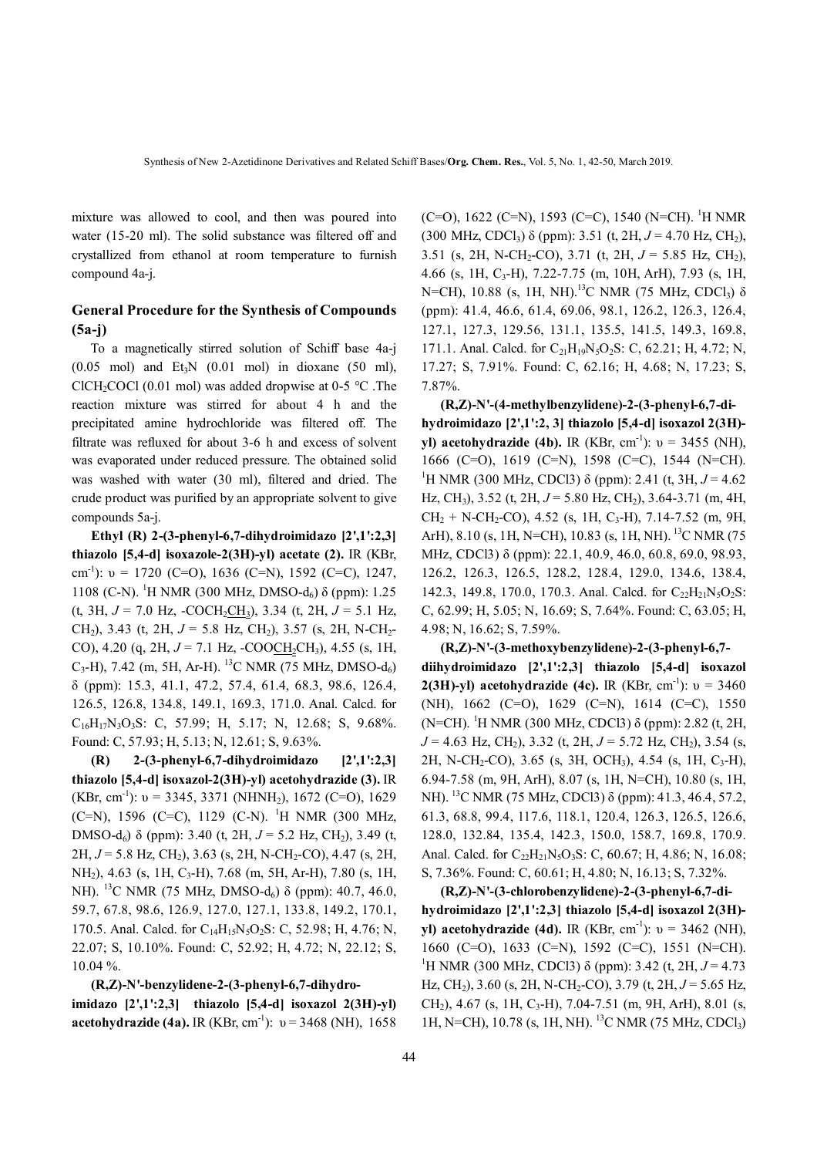mixture was allowed to cool, and then was poured into water (15-20 ml). The solid substance was filtered off and crystallized from ethanol at room temperature to furnish compound 4a-j.

## **General Procedure for the Synthesis of Compounds (5a-j)**

 To a magnetically stirred solution of Schiff base 4a-j  $(0.05 \text{ mol})$  and Et<sub>3</sub>N  $(0.01 \text{ mol})$  in dioxane  $(50 \text{ ml})$ , ClCH<sub>2</sub>COCl (0.01 mol) was added dropwise at 0-5  $^{\circ}$ C. The reaction mixture was stirred for about 4 h and the precipitated amine hydrochloride was filtered off. The filtrate was refluxed for about 3-6 h and excess of solvent was evaporated under reduced pressure. The obtained solid was washed with water (30 ml), filtered and dried. The crude product was purified by an appropriate solvent to give compounds 5a-j.

 **Ethyl (R) 2-(3-phenyl-6,7-dihydroimidazo [2',1':2,3] thiazolo [5,4-d] isoxazole-2(3H)-yl) acetate (2).** IR (KBr, cm-1 ): υ = 1720 (C=O), 1636 (C=N), 1592 (C=C), 1247, 1108 (C-N). <sup>1</sup>H NMR (300 MHz, DMSO-d<sub>6</sub>) δ (ppm): 1.25  $(t, 3H, J = 7.0 Hz, -COCH_2CH_3), 3.34 (t, 2H, J = 5.1 Hz,$ CH<sub>2</sub>), 3.43 (t, 2H,  $J = 5.8$  Hz, CH<sub>2</sub>), 3.57 (s, 2H, N-CH<sub>2</sub>-CO), 4.20 (q, 2H,  $J = 7.1$  Hz, -COOCH<sub>2</sub>CH<sub>3</sub>), 4.55 (s, 1H,  $C_3$ -H), 7.42 (m, 5H, Ar-H). <sup>13</sup>C NMR (75 MHz, DMSO-d<sub>6</sub>) δ (ppm): 15.3, 41.1, 47.2, 57.4, 61.4, 68.3, 98.6, 126.4, 126.5, 126.8, 134.8, 149.1, 169.3, 171.0. Anal. Calcd. for  $C_{16}H_{17}N_3O_3S$ : C, 57.99; H, 5.17; N, 12.68; S, 9.68%. Found: C, 57.93; H, 5.13; N, 12.61; S, 9.63%.

 **(R) 2-(3-phenyl-6,7-dihydroimidazo [2',1':2,3] thiazolo [5,4-d] isoxazol-2(3H)-yl) acetohydrazide (3).** IR (KBr, cm<sup>-1</sup>):  $v = 3345, 3371$  (NHNH<sub>2</sub>), 1672 (C=O), 1629 (C=N), 1596 (C=C), 1129 (C-N). <sup>1</sup>H NMR (300 MHz, DMSO-d<sub>6</sub>) δ (ppm): 3.40 (t, 2H,  $J = 5.2$  Hz, CH<sub>2</sub>), 3.49 (t,  $2H, J = 5.8$  Hz, CH<sub>2</sub>), 3.63 (s, 2H, N-CH<sub>2</sub>-CO), 4.47 (s, 2H, NH<sub>2</sub>), 4.63 (s, 1H, C<sub>3</sub>-H), 7.68 (m, 5H, Ar-H), 7.80 (s, 1H, NH). <sup>13</sup>C NMR (75 MHz, DMSO-d<sub>6</sub>) δ (ppm): 40.7, 46.0, 59.7, 67.8, 98.6, 126.9, 127.0, 127.1, 133.8, 149.2, 170.1, 170.5. Anal. Calcd. for C<sub>14</sub>H<sub>15</sub>N<sub>5</sub>O<sub>2</sub>S: C, 52.98; H, 4.76; N, 22.07; S, 10.10%. Found: C, 52.92; H, 4.72; N, 22.12; S, 10.04 %.

#### **(R,Z)-N'-benzylidene-2-(3-phenyl-6,7-dihydro-**

**imidazo [2',1':2,3] thiazolo [5,4-d] isoxazol 2(3H)-yl) acetohydrazide (4a).** IR (KBr, cm<sup>-1</sup>):  $v = 3468$  (NH), 1658 (C=O), 1622 (C=N), 1593 (C=C), 1540 (N=CH). <sup>1</sup>H NMR (300 MHz, CDCl<sub>3</sub>)  $\delta$  (ppm): 3.51 (t, 2H,  $J = 4.70$  Hz, CH<sub>2</sub>), 3.51 (s, 2H, N-CH2-CO), 3.71 (t, 2H, *J* = 5.85 Hz, CH2), 4.66 (s, 1H, C<sub>3</sub>-H), 7.22-7.75 (m, 10H, ArH), 7.93 (s, 1H, N=CH), 10.88 (s, 1H, NH).<sup>13</sup>C NMR (75 MHz, CDCl<sub>3</sub>)  $\delta$ (ppm): 41.4, 46.6, 61.4, 69.06, 98.1, 126.2, 126.3, 126.4, 127.1, 127.3, 129.56, 131.1, 135.5, 141.5, 149.3, 169.8, 171.1. Anal. Calcd. for  $C_{21}H_{19}N_5O_2S$ : C, 62.21; H, 4.72; N, 17.27; S, 7.91%. Found: C, 62.16; H, 4.68; N, 17.23; S, 7.87%.

 **(R,Z)-N'-(4-methylbenzylidene)-2-(3-phenyl-6,7-dihydroimidazo [2',1':2, 3] thiazolo [5,4-d] isoxazol 2(3H) yl) acetohydrazide (4b).** IR (KBr, cm<sup>-1</sup>):  $v = 3455$  (NH), 1666 (C=O), 1619 (C=N), 1598 (C=C), 1544 (N=CH). <sup>1</sup>H NMR (300 MHz, CDCl3) δ (ppm): 2.41 (t, 3H,  $J = 4.62$ Hz, CH<sub>3</sub>), 3.52 (t, 2H,  $J = 5.80$  Hz, CH<sub>2</sub>), 3.64-3.71 (m, 4H,  $CH_2 + N-CH_2-CO$ , 4.52 (s, 1H, C<sub>3</sub>-H), 7.14-7.52 (m, 9H, ArH), 8.10 (s, 1H, N=CH), 10.83 (s, 1H, NH). <sup>13</sup>C NMR (75 MHz, CDCl3) δ (ppm): 22.1, 40.9, 46.0, 60.8, 69.0, 98.93, 126.2, 126.3, 126.5, 128.2, 128.4, 129.0, 134.6, 138.4, 142.3, 149.8, 170.0, 170.3. Anal. Calcd. for C<sub>22</sub>H<sub>21</sub>N<sub>5</sub>O<sub>2</sub>S: C, 62.99; H, 5.05; N, 16.69; S, 7.64%. Found: C, 63.05; H, 4.98; N, 16.62; S, 7.59%.

 **(R,Z)-N'-(3-methoxybenzylidene)-2-(3-phenyl-6,7 diihydroimidazo [2',1':2,3] thiazolo [5,4-d] isoxazol 2(3H)-yl) acetohydrazide (4c).** IR (KBr, cm<sup>-1</sup>):  $v = 3460$ (NH), 1662 (C=O), 1629 (C=N), 1614 (C=C), 1550 (N=CH). <sup>1</sup>H NMR (300 MHz, CDCl3) δ (ppm): 2.82 (t, 2H, *J* = 4.63 Hz, CH<sub>2</sub>), 3.32 (t, 2H, *J* = 5.72 Hz, CH<sub>2</sub>), 3.54 (s, 2H, N-CH<sub>2</sub>-CO), 3.65 (s, 3H, OCH<sub>3</sub>), 4.54 (s, 1H, C<sub>3</sub>-H), 6.94-7.58 (m, 9H, ArH), 8.07 (s, 1H, N=CH), 10.80 (s, 1H, NH). <sup>13</sup>C NMR (75 MHz, CDCl3) δ (ppm): 41.3, 46.4, 57.2, 61.3, 68.8, 99.4, 117.6, 118.1, 120.4, 126.3, 126.5, 126.6, 128.0, 132.84, 135.4, 142.3, 150.0, 158.7, 169.8, 170.9. Anal. Calcd. for  $C_{22}H_{21}N_5O_3S$ : C, 60.67; H, 4.86; N, 16.08; S, 7.36%. Found: C, 60.61; H, 4.80; N, 16.13; S, 7.32%.

 **(R,Z)-N'-(3-chlorobenzylidene)-2-(3-phenyl-6,7-dihydroimidazo [2',1':2,3] thiazolo [5,4-d] isoxazol 2(3H) yl) acetohydrazide (4d).** IR (KBr, cm<sup>-1</sup>):  $v = 3462$  (NH), 1660 (C=O), 1633 (C=N), 1592 (C=C), 1551 (N=CH). <sup>1</sup>H NMR (300 MHz, CDCl3) δ (ppm): 3.42 (t, 2H,  $J = 4.73$ Hz, CH<sub>2</sub>), 3.60 (s, 2H, N-CH<sub>2</sub>-CO), 3.79 (t, 2H,  $J = 5.65$  Hz,  $CH<sub>2</sub>$ ), 4.67 (s, 1H, C<sub>3</sub>-H), 7.04-7.51 (m, 9H, ArH), 8.01 (s, 1H, N=CH), 10.78 (s, 1H, NH). <sup>13</sup>C NMR (75 MHz, CDCl3)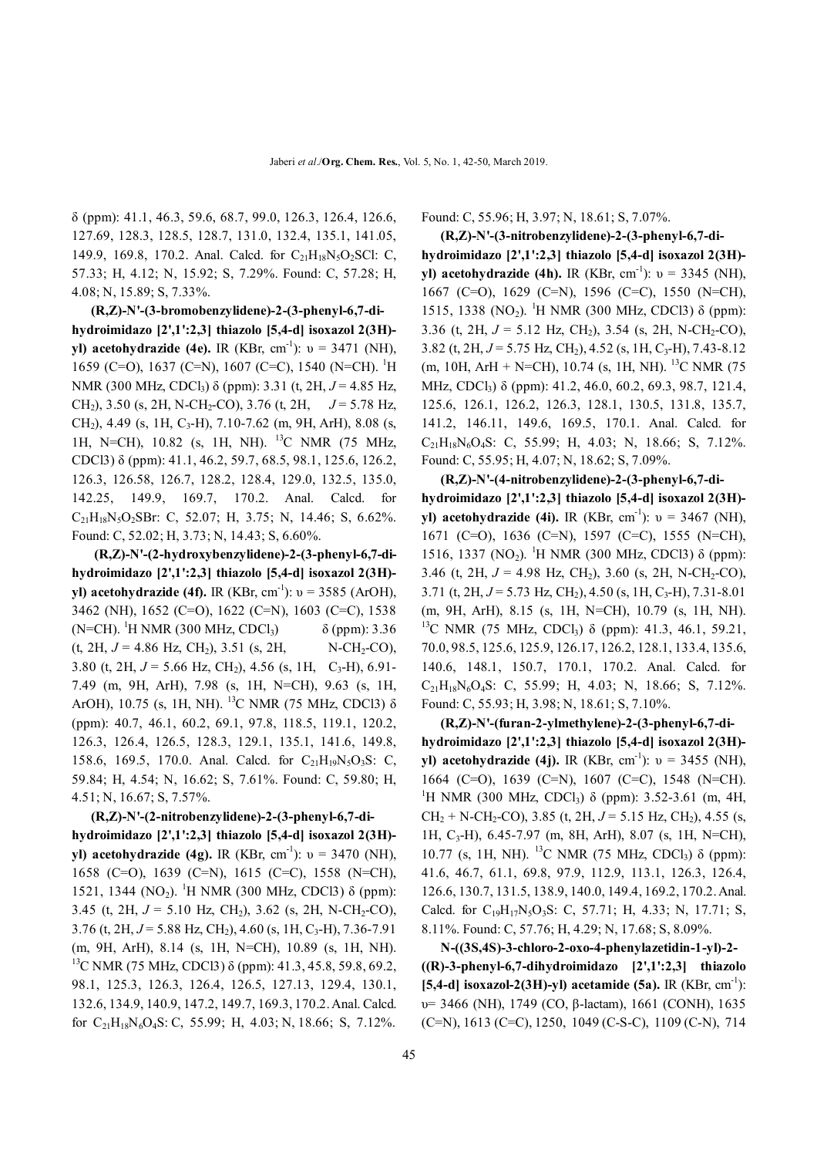δ (ppm): 41.1, 46.3, 59.6, 68.7, 99.0, 126.3, 126.4, 126.6, 127.69, 128.3, 128.5, 128.7, 131.0, 132.4, 135.1, 141.05, 149.9, 169.8, 170.2. Anal. Calcd. for  $C_{21}H_{18}N_5O_2SCl$ : C, 57.33; H, 4.12; N, 15.92; S, 7.29%. Found: C, 57.28; H, 4.08; N, 15.89; S, 7.33%.

 **(R,Z)-N'-(3-bromobenzylidene)-2-(3-phenyl-6,7-dihydroimidazo [2',1':2,3] thiazolo [5,4-d] isoxazol 2(3H) yl) acetohydrazide (4e).** IR (KBr, cm<sup>-1</sup>):  $v = 3471$  (NH), 1659 (C=O), 1637 (C=N), 1607 (C=C), 1540 (N=CH). <sup>1</sup>H NMR (300 MHz, CDCl<sub>3</sub>) δ (ppm): 3.31 (t, 2H,  $J = 4.85$  Hz, CH2), 3.50 (s, 2H, N-CH2-CO), 3.76 (t, 2H, *J* = 5.78 Hz,  $CH<sub>2</sub>$ ), 4.49 (s, 1H, C<sub>3</sub>-H), 7.10-7.62 (m, 9H, ArH), 8.08 (s, 1H, N=CH), 10.82 (s, 1H, NH). <sup>13</sup>C NMR (75 MHz, CDCl3) δ (ppm): 41.1, 46.2, 59.7, 68.5, 98.1, 125.6, 126.2, 126.3, 126.58, 126.7, 128.2, 128.4, 129.0, 132.5, 135.0, 142.25, 149.9, 169.7, 170.2. Anal. Calcd. for  $C_{21}H_{18}N_5O_2SBr$ : C, 52.07; H, 3.75; N, 14.46; S, 6.62%. Found: C, 52.02; H, 3.73; N, 14.43; S, 6.60%.

 **(R,Z)-N'-(2-hydroxybenzylidene)-2-(3-phenyl-6,7-dihydroimidazo [2',1':2,3] thiazolo [5,4-d] isoxazol 2(3H) yl) acetohydrazide (4f).** IR (KBr, cm<sup>-1</sup>):  $v = 3585$  (ArOH), 3462 (NH), 1652 (C=O), 1622 (C=N), 1603 (C=C), 1538 (N=CH). <sup>1</sup>H NMR (300 MHz, CDCl<sub>3</sub>)  $\delta$  (ppm): 3.36 (t, 2H,  $J = 4.86$  Hz, CH<sub>2</sub>), 3.51 (s, 2H, N-CH<sub>2</sub>-CO), 3.80 (t, 2H,  $J = 5.66$  Hz, CH<sub>2</sub>), 4.56 (s, 1H, C<sub>3</sub>-H), 6.91-7.49 (m, 9H, ArH), 7.98 (s, 1H, N=CH), 9.63 (s, 1H, ArOH), 10.75 (s, 1H, NH). <sup>13</sup>C NMR (75 MHz, CDCl3) δ (ppm): 40.7, 46.1, 60.2, 69.1, 97.8, 118.5, 119.1, 120.2, 126.3, 126.4, 126.5, 128.3, 129.1, 135.1, 141.6, 149.8, 158.6, 169.5, 170.0. Anal. Calcd. for C<sub>21</sub>H<sub>19</sub>N<sub>5</sub>O<sub>3</sub>S: C, 59.84; H, 4.54; N, 16.62; S, 7.61%. Found: C, 59.80; H, 4.51; N, 16.67; S, 7.57%.

 **(R,Z)-N'-(2-nitrobenzylidene)-2-(3-phenyl-6,7-dihydroimidazo [2',1':2,3] thiazolo [5,4-d] isoxazol 2(3H) yl) acetohydrazide (4g).** IR (KBr, cm<sup>-1</sup>):  $v = 3470$  (NH), 1658 (C=O), 1639 (C=N), 1615 (C=C), 1558 (N=CH), 1521, 1344 (NO<sub>2</sub>). <sup>1</sup>H NMR (300 MHz, CDCl3) δ (ppm): 3.45 (t, 2H,  $J = 5.10$  Hz, CH<sub>2</sub>), 3.62 (s, 2H, N-CH<sub>2</sub>-CO),  $3.76$  (t,  $2H, J = 5.88$  Hz, CH<sub>2</sub>),  $4.60$  (s,  $1H, C_3$ -H),  $7.36$ -7.91 (m, 9H, ArH), 8.14 (s, 1H, N=CH), 10.89 (s, 1H, NH). <sup>13</sup>C NMR (75 MHz, CDCl3) δ (ppm): 41.3, 45.8, 59.8, 69.2, 98.1, 125.3, 126.3, 126.4, 126.5, 127.13, 129.4, 130.1, 132.6, 134.9, 140.9, 147.2, 149.7, 169.3, 170.2.Anal. Calcd. for  $C_{21}H_{18}N_6O_4S$ : C, 55.99; H, 4.03; N, 18.66; S, 7.12%.

Found: C, 55.96; H, 3.97; N, 18.61; S, 7.07%.

 **(R,Z)-N'-(3-nitrobenzylidene)-2-(3-phenyl-6,7-dihydroimidazo [2',1':2,3] thiazolo [5,4-d] isoxazol 2(3H) yl) acetohydrazide (4h).** IR (KBr, cm<sup>-1</sup>):  $v = 3345$  (NH), 1667 (C=O), 1629 (C=N), 1596 (C=C), 1550 (N=CH), 1515, 1338 (NO<sub>2</sub>). <sup>1</sup>H NMR (300 MHz, CDCl3) δ (ppm): 3.36 (t, 2H,  $J = 5.12$  Hz, CH<sub>2</sub>), 3.54 (s, 2H, N-CH<sub>2</sub>-CO), 3.82 (t, 2H,  $J = 5.75$  Hz, CH<sub>2</sub>), 4.52 (s, 1H, C<sub>3</sub>-H), 7.43-8.12  $(m, 10H, ArH + N=CH), 10.74$  (s, 1H, NH). <sup>13</sup>C NMR (75 MHz, CDCl<sub>3</sub>) δ (ppm): 41.2, 46.0, 60.2, 69.3, 98.7, 121.4, 125.6, 126.1, 126.2, 126.3, 128.1, 130.5, 131.8, 135.7, 141.2, 146.11, 149.6, 169.5, 170.1. Anal. Calcd. for  $C_{21}H_{18}N_6O_4S$ : C, 55.99; H, 4.03; N, 18.66; S, 7.12%. Found: C, 55.95; H, 4.07; N, 18.62; S, 7.09%.

 **(R,Z)-N'-(4-nitrobenzylidene)-2-(3-phenyl-6,7-dihydroimidazo [2',1':2,3] thiazolo [5,4-d] isoxazol 2(3H) yl) acetohydrazide (4i).** IR (KBr, cm<sup>-1</sup>):  $v = 3467$  (NH), 1671 (C=O), 1636 (C=N), 1597 (C=C), 1555 (N=CH), 1516, 1337 (NO<sub>2</sub>). <sup>1</sup>H NMR (300 MHz, CDCl3) δ (ppm): 3.46 (t, 2H,  $J = 4.98$  Hz, CH<sub>2</sub>), 3.60 (s, 2H, N-CH<sub>2</sub>-CO), 3.71 (t, 2H,  $J = 5.73$  Hz, CH<sub>2</sub>), 4.50 (s, 1H, C<sub>3</sub>-H), 7.31-8.01 (m, 9H, ArH), 8.15 (s, 1H, N=CH), 10.79 (s, 1H, NH). <sup>13</sup>C NMR (75 MHz, CDCl<sub>3</sub>) δ (ppm): 41.3, 46.1, 59.21, 70.0, 98.5, 125.6, 125.9, 126.17, 126.2, 128.1, 133.4, 135.6, 140.6, 148.1, 150.7, 170.1, 170.2. Anal. Calcd. for  $C_{21}H_{18}N_6O_4S$ : C, 55.99; H, 4.03; N, 18.66; S, 7.12%. Found: C, 55.93; H, 3.98; N, 18.61; S, 7.10%.

 **(R,Z)-N'-(furan-2-ylmethylene)-2-(3-phenyl-6,7-dihydroimidazo [2',1':2,3] thiazolo [5,4-d] isoxazol 2(3H) yl) acetohydrazide (4j).** IR (KBr, cm<sup>-1</sup>):  $v = 3455$  (NH), 1664 (C=O), 1639 (C=N), 1607 (C=C), 1548 (N=CH). <sup>1</sup>H NMR (300 MHz, CDCl<sub>3</sub>) δ (ppm): 3.52-3.61 (m, 4H,  $CH<sub>2</sub> + N-CH<sub>2</sub>-CO$ ), 3.85 (t, 2H,  $J = 5.15$  Hz, CH<sub>2</sub>), 4.55 (s, 1H,  $C_3$ -H), 6.45-7.97 (m, 8H, ArH), 8.07 (s, 1H, N=CH), 10.77 (s, 1H, NH). <sup>13</sup>C NMR (75 MHz, CDCl<sub>3</sub>) δ (ppm): 41.6, 46.7, 61.1, 69.8, 97.9, 112.9, 113.1, 126.3, 126.4, 126.6, 130.7, 131.5, 138.9, 140.0, 149.4, 169.2, 170.2.Anal. Calcd. for  $C_{19}H_{17}N_5O_3S$ : C, 57.71; H, 4.33; N, 17.71; S, 8.11%. Found: C, 57.76; H, 4.29; N, 17.68; S, 8.09%.

 **N-((3S,4S)-3-chloro-2-oxo-4-phenylazetidin-1-yl)-2- ((R)-3-phenyl-6,7-dihydroimidazo [2',1':2,3] thiazolo**  [5,4-d] isoxazol-2(3H)-yl) acetamide (5a). IR (KBr, cm<sup>-1</sup>): υ= 3466 (NH), 1749 (CO, β-lactam), 1661 (CONH), 1635 (C=N), 1613 (C=C), 1250, 1049 (C-S-C), 1109 (C-N), 714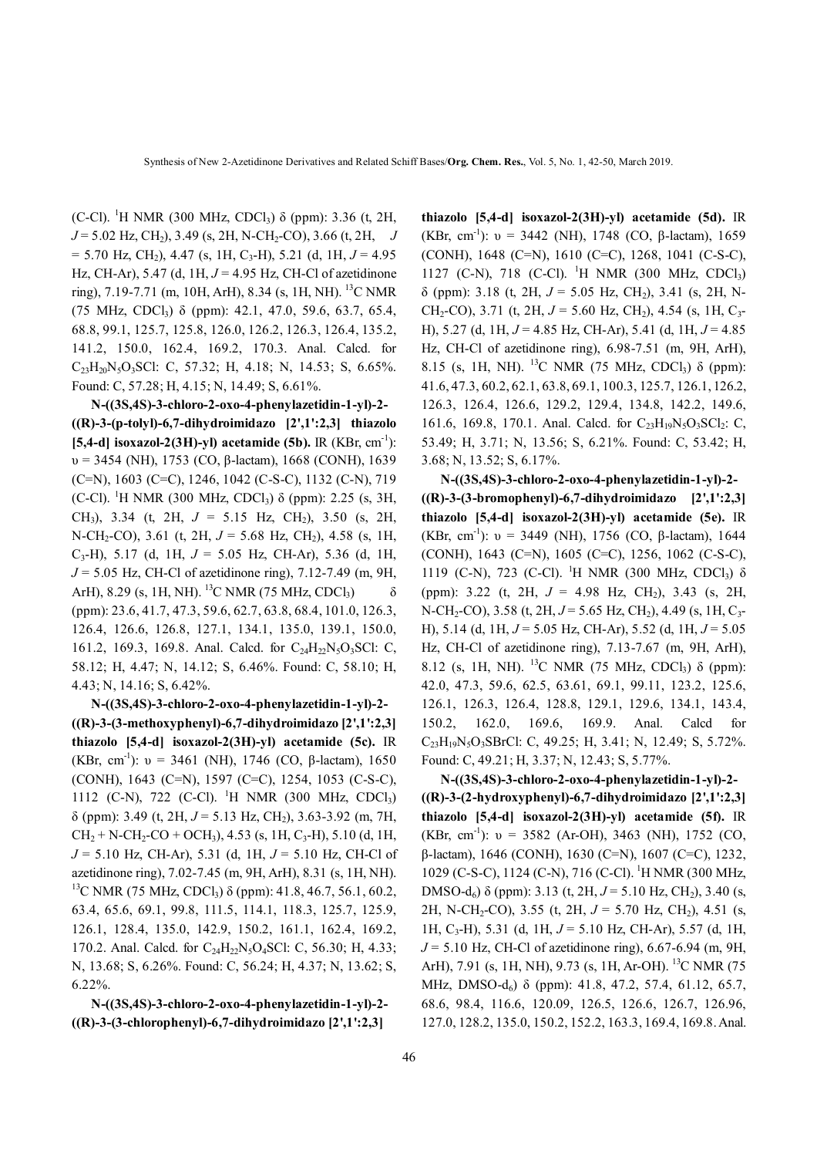(C-Cl). <sup>1</sup>H NMR (300 MHz, CDCl3) δ (ppm): 3.36 (t, 2H,  $J = 5.02$  Hz, CH<sub>2</sub>), 3.49 (s, 2H, N-CH<sub>2</sub>-CO), 3.66 (t, 2H, *J*  $= 5.70$  Hz, CH<sub>2</sub>), 4.47 (s, 1H, C<sub>3</sub>-H), 5.21 (d, 1H,  $J = 4.95$ Hz, CH-Ar), 5.47 (d, 1H, *J* = 4.95 Hz, CH-Cl of azetidinone ring), 7.19-7.71 (m, 10H, ArH), 8.34 (s, 1H, NH). <sup>13</sup>C NMR (75 MHz, CDCl<sub>3</sub>)  $\delta$  (ppm): 42.1, 47.0, 59.6, 63.7, 65.4, 68.8, 99.1, 125.7, 125.8, 126.0, 126.2, 126.3, 126.4, 135.2, 141.2, 150.0, 162.4, 169.2, 170.3. Anal. Calcd. for C23H20N5O3SCl: C, 57.32; H, 4.18; N, 14.53; S, 6.65%. Found: C, 57.28; H, 4.15; N, 14.49; S, 6.61%.

 **N-((3S,4S)-3-chloro-2-oxo-4-phenylazetidin-1-yl)-2- ((R)-3-(p-tolyl)-6,7-dihydroimidazo [2',1':2,3] thiazolo**  [5,4-d] isoxazol-2(3H)-yl) acetamide (5b). IR (KBr, cm<sup>-1</sup>):  $υ = 3454$  (NH), 1753 (CO, β-lactam), 1668 (CONH), 1639 (C=N), 1603 (C=C), 1246, 1042 (C-S-C), 1132 (C-N), 719 (C-Cl). <sup>1</sup>H NMR (300 MHz, CDCl<sub>3</sub>)  $\delta$  (ppm): 2.25 (s, 3H, CH<sub>3</sub>), 3.34 (t, 2H,  $J = 5.15$  Hz, CH<sub>2</sub>), 3.50 (s, 2H, N-CH<sub>2</sub>-CO), 3.61 (t, 2H,  $J = 5.68$  Hz, CH<sub>2</sub>), 4.58 (s, 1H, C3-H), 5.17 (d, 1H, *J* = 5.05 Hz, CH-Ar), 5.36 (d, 1H, *J* = 5.05 Hz, CH-Cl of azetidinone ring), 7.12-7.49 (m, 9H, ArH), 8.29 (s, 1H, NH). <sup>13</sup>C NMR (75 MHz, CDCl<sub>3</sub>)  $\delta$ (ppm): 23.6, 41.7, 47.3, 59.6, 62.7, 63.8, 68.4, 101.0, 126.3, 126.4, 126.6, 126.8, 127.1, 134.1, 135.0, 139.1, 150.0, 161.2, 169.3, 169.8. Anal. Calcd. for  $C_{24}H_{22}N_5O_3SCl$ : C, 58.12; H, 4.47; N, 14.12; S, 6.46%. Found: C, 58.10; H, 4.43; N, 14.16; S, 6.42%.

 **N-((3S,4S)-3-chloro-2-oxo-4-phenylazetidin-1-yl)-2- ((R)-3-(3-methoxyphenyl)-6,7-dihydroimidazo [2',1':2,3] thiazolo [5,4-d] isoxazol-2(3H)-yl) acetamide (5c).** IR (KBr, cm<sup>-1</sup>):  $v = 3461$  (NH), 1746 (CO,  $\beta$ -lactam), 1650 (CONH), 1643 (C=N), 1597 (C=C), 1254, 1053 (C-S-C), 1112 (C-N), 722 (C-Cl). <sup>1</sup>H NMR (300 MHz, CDCl<sub>3</sub>) δ (ppm): 3.49 (t, 2H, *J* = 5.13 Hz, CH2), 3.63-3.92 (m, 7H,  $CH<sub>2</sub> + N-CH<sub>2</sub>-CO + OCH<sub>3</sub>$ , 4.53 (s, 1H, C<sub>3</sub>-H), 5.10 (d, 1H, *J* = 5.10 Hz, CH-Ar), 5.31 (d, 1H, *J* = 5.10 Hz, CH-Cl of azetidinone ring), 7.02-7.45 (m, 9H, ArH), 8.31 (s, 1H, NH). <sup>13</sup>C NMR (75 MHz, CDCl<sub>3</sub>) δ (ppm): 41.8, 46.7, 56.1, 60.2, 63.4, 65.6, 69.1, 99.8, 111.5, 114.1, 118.3, 125.7, 125.9, 126.1, 128.4, 135.0, 142.9, 150.2, 161.1, 162.4, 169.2, 170.2. Anal. Calcd. for C<sub>24</sub>H<sub>22</sub>N<sub>5</sub>O<sub>4</sub>SCl: C, 56.30; H, 4.33; N, 13.68; S, 6.26%. Found: C, 56.24; H, 4.37; N, 13.62; S, 6.22%.

 **N-((3S,4S)-3-chloro-2-oxo-4-phenylazetidin-1-yl)-2- ((R)-3-(3-chlorophenyl)-6,7-dihydroimidazo [2',1':2,3]** 

**thiazolo [5,4-d] isoxazol-2(3H)-yl) acetamide (5d).** IR (KBr, cm<sup>-1</sup>):  $v = 3442$  (NH), 1748 (CO,  $\beta$ -lactam), 1659 (CONH), 1648 (C=N), 1610 (C=C), 1268, 1041 (C-S-C), 1127 (C-N), 718 (C-Cl). <sup>1</sup>H NMR (300 MHz, CDCl<sub>3</sub>)  $\delta$  (ppm): 3.18 (t, 2H,  $J = 5.05$  Hz, CH<sub>2</sub>), 3.41 (s, 2H, N-CH<sub>2</sub>-CO), 3.71 (t, 2H,  $J = 5.60$  Hz, CH<sub>2</sub>), 4.54 (s, 1H, C<sub>3</sub>-H), 5.27 (d, 1H, *J* = 4.85 Hz, CH-Ar), 5.41 (d, 1H, *J* = 4.85 Hz, CH-Cl of azetidinone ring), 6.98-7.51 (m, 9H, ArH), 8.15 (s, 1H, NH). <sup>13</sup>C NMR (75 MHz, CDCl<sub>3</sub>) δ (ppm): 41.6, 47.3, 60.2, 62.1, 63.8, 69.1, 100.3, 125.7, 126.1, 126.2, 126.3, 126.4, 126.6, 129.2, 129.4, 134.8, 142.2, 149.6, 161.6, 169.8, 170.1. Anal. Calcd. for  $C_{23}H_{19}N_5O_3SCl_2$ : C, 53.49; H, 3.71; N, 13.56; S, 6.21%. Found: C, 53.42; H, 3.68; N, 13.52; S, 6.17%.

 **N-((3S,4S)-3-chloro-2-oxo-4-phenylazetidin-1-yl)-2- ((R)-3-(3-bromophenyl)-6,7-dihydroimidazo [2',1':2,3] thiazolo [5,4-d] isoxazol-2(3H)-yl) acetamide (5e).** IR (KBr, cm<sup>-1</sup>):  $v = 3449$  (NH), 1756 (CO,  $\beta$ -lactam), 1644 (CONH), 1643 (C=N), 1605 (C=C), 1256, 1062 (C-S-C), 1119 (C-N), 723 (C-Cl). <sup>1</sup>H NMR (300 MHz, CDCl<sub>3</sub>) δ (ppm): 3.22 (t, 2H,  $J = 4.98$  Hz, CH<sub>2</sub>), 3.43 (s, 2H, N-CH<sub>2</sub>-CO), 3.58 (t, 2H,  $J = 5.65$  Hz, CH<sub>2</sub>), 4.49 (s, 1H, C<sub>3</sub>-H), 5.14 (d, 1H, *J* = 5.05 Hz, CH-Ar), 5.52 (d, 1H, *J* = 5.05 Hz, CH-Cl of azetidinone ring), 7.13-7.67 (m, 9H, ArH), 8.12 (s, 1H, NH). <sup>13</sup>C NMR (75 MHz, CDCl<sub>3</sub>) δ (ppm): 42.0, 47.3, 59.6, 62.5, 63.61, 69.1, 99.11, 123.2, 125.6, 126.1, 126.3, 126.4, 128.8, 129.1, 129.6, 134.1, 143.4, 150.2, 162.0, 169.6, 169.9. Anal. Calcd for C23H19N5O3SBrCl: C, 49.25; H, 3.41; N, 12.49; S, 5.72%. Found: C, 49.21; H, 3.37; N, 12.43; S, 5.77%.

 **N-((3S,4S)-3-chloro-2-oxo-4-phenylazetidin-1-yl)-2- ((R)-3-(2-hydroxyphenyl)-6,7-dihydroimidazo [2',1':2,3] thiazolo [5,4-d] isoxazol-2(3H)-yl) acetamide (5f).** IR (KBr, cm<sup>-1</sup>):  $v = 3582$  (Ar-OH), 3463 (NH), 1752 (CO, β-lactam), 1646 (CONH), 1630 (C=N), 1607 (C=C), 1232, 1029 (C-S-C), 1124 (C-N), 716 (C-Cl). <sup>1</sup>H NMR (300 MHz, DMSO-d6) δ (ppm): 3.13 (t, 2H, *J* = 5.10 Hz, CH2), 3.40 (s, 2H, N-CH2-CO), 3.55 (t, 2H, *J* = 5.70 Hz, CH2), 4.51 (s, 1H, C3-H), 5.31 (d, 1H, *J* = 5.10 Hz, CH-Ar), 5.57 (d, 1H, *J* = 5.10 Hz, CH-Cl of azetidinone ring), 6.67-6.94 (m, 9H, ArH), 7.91 (s, 1H, NH), 9.73 (s, 1H, Ar-OH). <sup>13</sup>C NMR (75 MHz, DMSO-d<sub>6</sub>) δ (ppm): 41.8, 47.2, 57.4, 61.12, 65.7, 68.6, 98.4, 116.6, 120.09, 126.5, 126.6, 126.7, 126.96, 127.0, 128.2, 135.0, 150.2, 152.2, 163.3, 169.4, 169.8.Anal.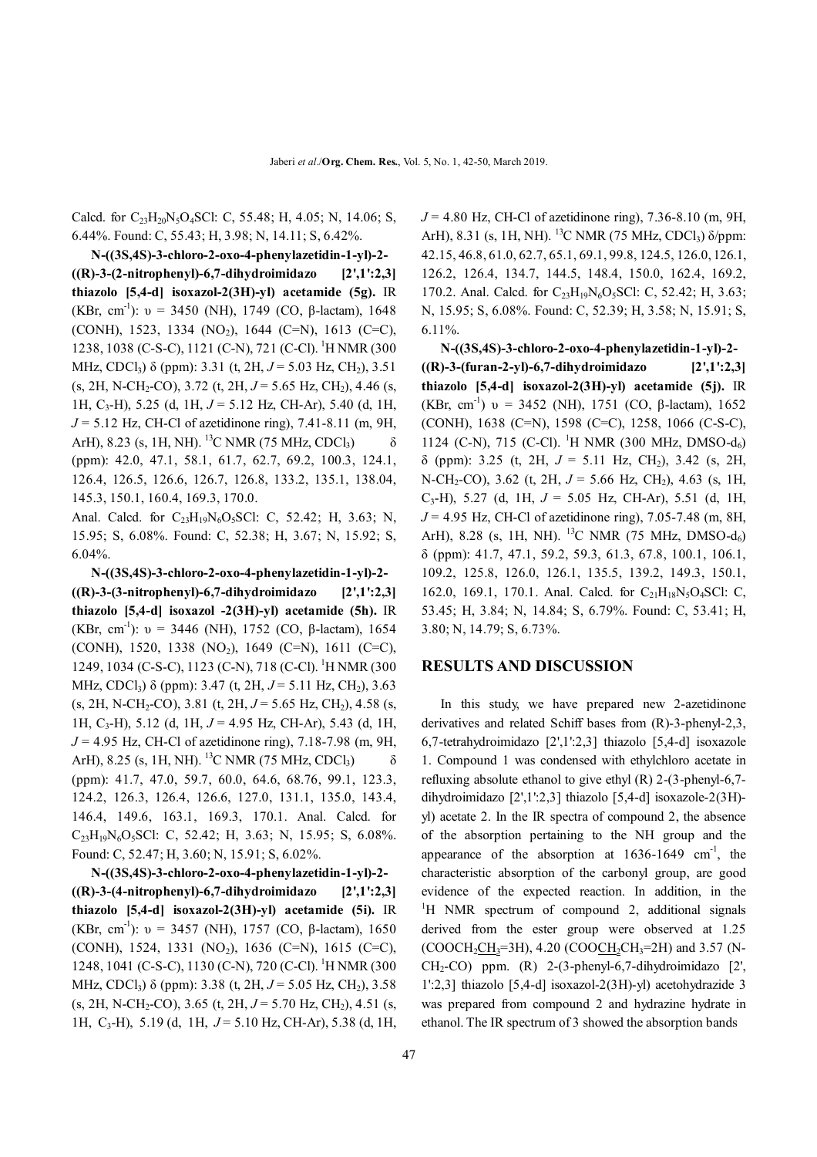Calcd. for C<sub>23</sub>H<sub>20</sub>N<sub>5</sub>O<sub>4</sub>SCl: C, 55.48; H, 4.05; N, 14.06; S, 6.44%. Found: C, 55.43; H, 3.98; N, 14.11; S, 6.42%.

 **N-((3S,4S)-3-chloro-2-oxo-4-phenylazetidin-1-yl)-2- ((R)-3-(2-nitrophenyl)-6,7-dihydroimidazo [2',1':2,3] thiazolo [5,4-d] isoxazol-2(3H)-yl) acetamide (5g).** IR (KBr, cm<sup>-1</sup>):  $v = 3450$  (NH), 1749 (CO,  $\beta$ -lactam), 1648 (CONH), 1523, 1334 (NO<sub>2</sub>), 1644 (C=N), 1613 (C=C), 1238, 1038 (C-S-C), 1121 (C-N), 721 (C-Cl). <sup>1</sup>H NMR (300 MHz, CDCl3) δ (ppm): 3.31 (t, 2H, *J* = 5.03 Hz, CH2), 3.51 (s, 2H, N-CH2-CO), 3.72 (t, 2H, *J* = 5.65 Hz, CH2), 4.46 (s, 1H, C3-H), 5.25 (d, 1H, *J* = 5.12 Hz, CH-Ar), 5.40 (d, 1H, *J* = 5.12 Hz, CH-Cl of azetidinone ring), 7.41-8.11 (m, 9H, ArH), 8.23 (s, 1H, NH). <sup>13</sup>C NMR (75 MHz, CDCl<sub>3</sub>)  $\delta$ (ppm): 42.0, 47.1, 58.1, 61.7, 62.7, 69.2, 100.3, 124.1, 126.4, 126.5, 126.6, 126.7, 126.8, 133.2, 135.1, 138.04, 145.3, 150.1, 160.4, 169.3, 170.0.

Anal. Calcd. for  $C_{23}H_{19}N_6O_5SCl$ : C, 52.42; H, 3.63; N, 15.95; S, 6.08%. Found: C, 52.38; H, 3.67; N, 15.92; S, 6.04%.

 **N-((3S,4S)-3-chloro-2-oxo-4-phenylazetidin-1-yl)-2- ((R)-3-(3-nitrophenyl)-6,7-dihydroimidazo [2',1':2,3] thiazolo [5,4-d] isoxazol -2(3H)-yl) acetamide (5h).** IR (KBr, cm<sup>-1</sup>):  $v = 3446$  (NH), 1752 (CO,  $\beta$ -lactam), 1654 (CONH), 1520, 1338 (NO<sub>2</sub>), 1649 (C=N), 1611 (C=C), 1249, 1034 (C-S-C), 1123 (C-N), 718 (C-Cl). <sup>1</sup>H NMR (300 MHz, CDCl<sub>3</sub>)  $\delta$  (ppm): 3.47 (t, 2H,  $J = 5.11$  Hz, CH<sub>2</sub>), 3.63 (s, 2H, N-CH2-CO), 3.81 (t, 2H, *J* = 5.65 Hz, CH2), 4.58 (s, 1H, C3-H), 5.12 (d, 1H, *J* = 4.95 Hz, CH-Ar), 5.43 (d, 1H, *J* = 4.95 Hz, CH-Cl of azetidinone ring), 7.18-7.98 (m, 9H, ArH), 8.25 (s, 1H, NH). <sup>13</sup>C NMR (75 MHz, CDCl<sub>3</sub>)  $\delta$ (ppm): 41.7, 47.0, 59.7, 60.0, 64.6, 68.76, 99.1, 123.3, 124.2, 126.3, 126.4, 126.6, 127.0, 131.1, 135.0, 143.4, 146.4, 149.6, 163.1, 169.3, 170.1. Anal. Calcd. for  $C_{23}H_{19}N_6O_5SC$ : C, 52.42; H, 3.63; N, 15.95; S, 6.08%. Found: C, 52.47; H, 3.60; N, 15.91; S, 6.02%.

 **N-((3S,4S)-3-chloro-2-oxo-4-phenylazetidin-1-yl)-2- ((R)-3-(4-nitrophenyl)-6,7-dihydroimidazo [2',1':2,3] thiazolo [5,4-d] isoxazol-2(3H)-yl) acetamide (5i).** IR (KBr, cm<sup>-1</sup>):  $v = 3457$  (NH), 1757 (CO,  $\beta$ -lactam), 1650 (CONH), 1524, 1331 (NO<sub>2</sub>), 1636 (C=N), 1615 (C=C), 1248, 1041 (C-S-C), 1130 (C-N), 720 (C-Cl). <sup>1</sup>H NMR (300 MHz, CDCl<sub>3</sub>)  $\delta$  (ppm): 3.38 (t, 2H,  $J = 5.05$  Hz, CH<sub>2</sub>), 3.58 (s, 2H, N-CH2-CO), 3.65 (t, 2H, *J* = 5.70 Hz, CH2), 4.51 (s, 1H, C3-H), 5.19 (d, 1H, *J* = 5.10 Hz, CH-Ar), 5.38 (d, 1H,

*J* = 4.80 Hz, CH-Cl of azetidinone ring), 7.36-8.10 (m, 9H, ArH), 8.31 (s, 1H, NH). <sup>13</sup>C NMR (75 MHz, CDCl<sub>3</sub>)  $\delta$ /ppm: 42.15, 46.8, 61.0, 62.7, 65.1, 69.1, 99.8, 124.5, 126.0, 126.1, 126.2, 126.4, 134.7, 144.5, 148.4, 150.0, 162.4, 169.2, 170.2. Anal. Calcd. for  $C_{23}H_{19}N_6O_5SC$ l: C, 52.42; H, 3.63; N, 15.95; S, 6.08%. Found: C, 52.39; H, 3.58; N, 15.91; S, 6.11%.

 **N-((3S,4S)-3-chloro-2-oxo-4-phenylazetidin-1-yl)-2- ((R)-3-(furan-2-yl)-6,7-dihydroimidazo [2',1':2,3] thiazolo [5,4-d] isoxazol-2(3H)-yl) acetamide (5j).** IR (KBr, cm<sup>-1</sup>)  $v = 3452$  (NH), 1751 (CO,  $\beta$ -lactam), 1652 (CONH), 1638 (C=N), 1598 (C=C), 1258, 1066 (C-S-C), 1124 (C-N), 715 (C-Cl). <sup>1</sup>H NMR (300 MHz, DMSO-d<sub>6</sub>)  $\delta$  (ppm): 3.25 (t, 2H,  $J = 5.11$  Hz, CH<sub>2</sub>), 3.42 (s, 2H, N-CH<sub>2</sub>-CO), 3.62 (t, 2H,  $J = 5.66$  Hz, CH<sub>2</sub>), 4.63 (s, 1H, C3-H), 5.27 (d, 1H, *J* = 5.05 Hz, CH-Ar), 5.51 (d, 1H, *J* = 4.95 Hz, CH-Cl of azetidinone ring), 7.05-7.48 (m, 8H, ArH), 8.28 (s, 1H, NH). <sup>13</sup>C NMR (75 MHz, DMSO-d<sub>6</sub>) δ (ppm): 41.7, 47.1, 59.2, 59.3, 61.3, 67.8, 100.1, 106.1, 109.2, 125.8, 126.0, 126.1, 135.5, 139.2, 149.3, 150.1, 162.0, 169.1, 170.1. Anal. Calcd. for  $C_{21}H_{18}N_5O_4SCl$ : C, 53.45; H, 3.84; N, 14.84; S, 6.79%. Found: C, 53.41; H, 3.80; N, 14.79; S, 6.73%.

#### **RESULTS AND DISCUSSION**

 In this study, we have prepared new 2-azetidinone derivatives and related Schiff bases from (R)-3-phenyl-2,3, 6,7-tetrahydroimidazo [2',1':2,3] thiazolo [5,4-d] isoxazole 1. Compound 1 was condensed with ethylchloro acetate in refluxing absolute ethanol to give ethyl (R) 2-(3-phenyl-6,7 dihydroimidazo [2',1':2,3] thiazolo [5,4-d] isoxazole-2(3H) yl) acetate 2. In the IR spectra of compound 2, the absence of the absorption pertaining to the NH group and the appearance of the absorption at  $1636-1649$  cm<sup>-1</sup>, the characteristic absorption of the carbonyl group, are good evidence of the expected reaction. In addition, in the <sup>1</sup>H NMR spectrum of compound 2, additional signals derived from the ester group were observed at 1.25  $(COOCH_2CH_3=3H)$ , 4.20  $(COOCH_2CH_3=2H)$  and 3.57 (N- $CH_2$ -CO) ppm. (R) 2-(3-phenyl-6,7-dihydroimidazo [2', 1':2,3] thiazolo [5,4-d] isoxazol-2(3H)-yl) acetohydrazide 3 was prepared from compound 2 and hydrazine hydrate in ethanol. The IR spectrum of 3 showed the absorption bands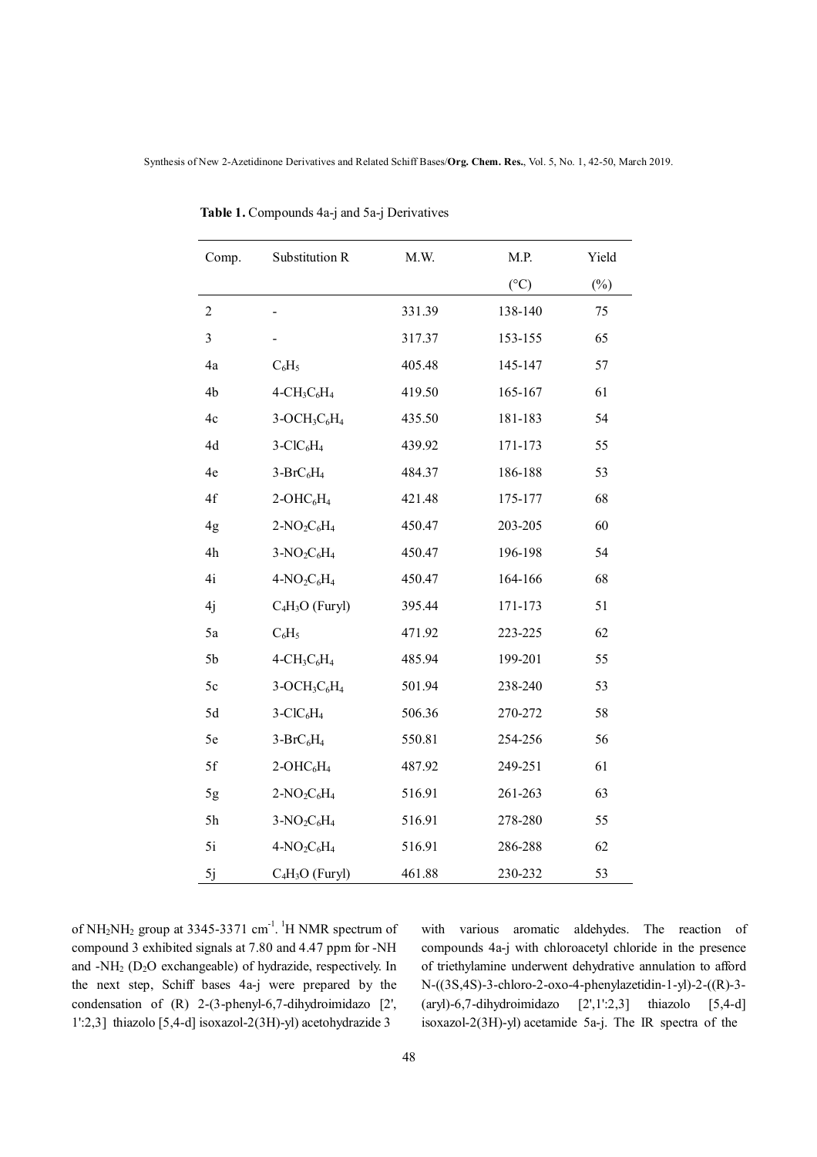| Comp.            | Substitution R    | M.W.   | M.P.            | Yield  |
|------------------|-------------------|--------|-----------------|--------|
|                  |                   |        | $({}^{\circ}C)$ | $(\%)$ |
| $\boldsymbol{2}$ |                   | 331.39 | 138-140         | 75     |
| 3                |                   | 317.37 | 153-155         | 65     |
| 4a               | $C_6H_5$          | 405.48 | 145-147         | 57     |
| 4b               | $4-CH3C6H4$       | 419.50 | 165-167         | 61     |
| 4c               | $3-OCH3C6H4$      | 435.50 | 181-183         | 54     |
| 4d               | $3-CIC6H4$        | 439.92 | 171-173         | 55     |
| 4e               | $3-BrC6H4$        | 484.37 | 186-188         | 53     |
| 4f               | $2-OHC6H4$        | 421.48 | 175-177         | 68     |
| 4g               | $2-NO2C6H4$       | 450.47 | 203-205         | 60     |
| 4h               | $3-NO_2C_6H_4$    | 450.47 | 196-198         | 54     |
| 4i               | $4-NO2C6H4$       | 450.47 | 164-166         | 68     |
| 4j               | $C_4H_3O$ (Furyl) | 395.44 | 171-173         | 51     |
| 5a               | $C_6H_5$          | 471.92 | 223-225         | 62     |
| 5 <sub>b</sub>   | $4-CH3C6H4$       | 485.94 | 199-201         | 55     |
| $5c$             | $3-OCH3C6H4$      | 501.94 | 238-240         | 53     |
| 5d               | $3-CIC6H4$        | 506.36 | 270-272         | 58     |
| 5e               | $3-BrC_6H_4$      | 550.81 | 254-256         | 56     |
| 5f               | $2-OHC6H4$        | 487.92 | 249-251         | 61     |
| 5g               | $2-NO2C6H4$       | 516.91 | 261-263         | 63     |
| 5h               | $3-NO2C6H4$       | 516.91 | 278-280         | 55     |
| 5i               | $4-NO2C6H4$       | 516.91 | 286-288         | 62     |
| 5j               | $C_4H_3O$ (Furyl) | 461.88 | 230-232         | 53     |

 **Table 1.** Compounds 4a-j and 5a-j Derivatives

of  $NH<sub>2</sub>NH<sub>2</sub>$  group at 3345-3371 cm<sup>-1</sup>. <sup>1</sup>H NMR spectrum of compound 3 exhibited signals at 7.80 and 4.47 ppm for -NH and -NH2 (D2O exchangeable) of hydrazide, respectively. In the next step, Schiff bases 4a-j were prepared by the condensation of (R) 2-(3-phenyl-6,7-dihydroimidazo [2', 1':2,3] thiazolo [5,4-d] isoxazol-2(3H)-yl) acetohydrazide 3

with various aromatic aldehydes. The reaction of compounds 4a-j with chloroacetyl chloride in the presence of triethylamine underwent dehydrative annulation to afford N-((3S,4S)-3-chloro-2-oxo-4-phenylazetidin-1-yl)-2-((R)-3-  $(\text{aryl})$ -6,7-dihydroimidazo  $[2',1':2,3]$  thiazolo  $[5,4-d]$ isoxazol-2(3H)-yl) acetamide 5a-j. The IR spectra of the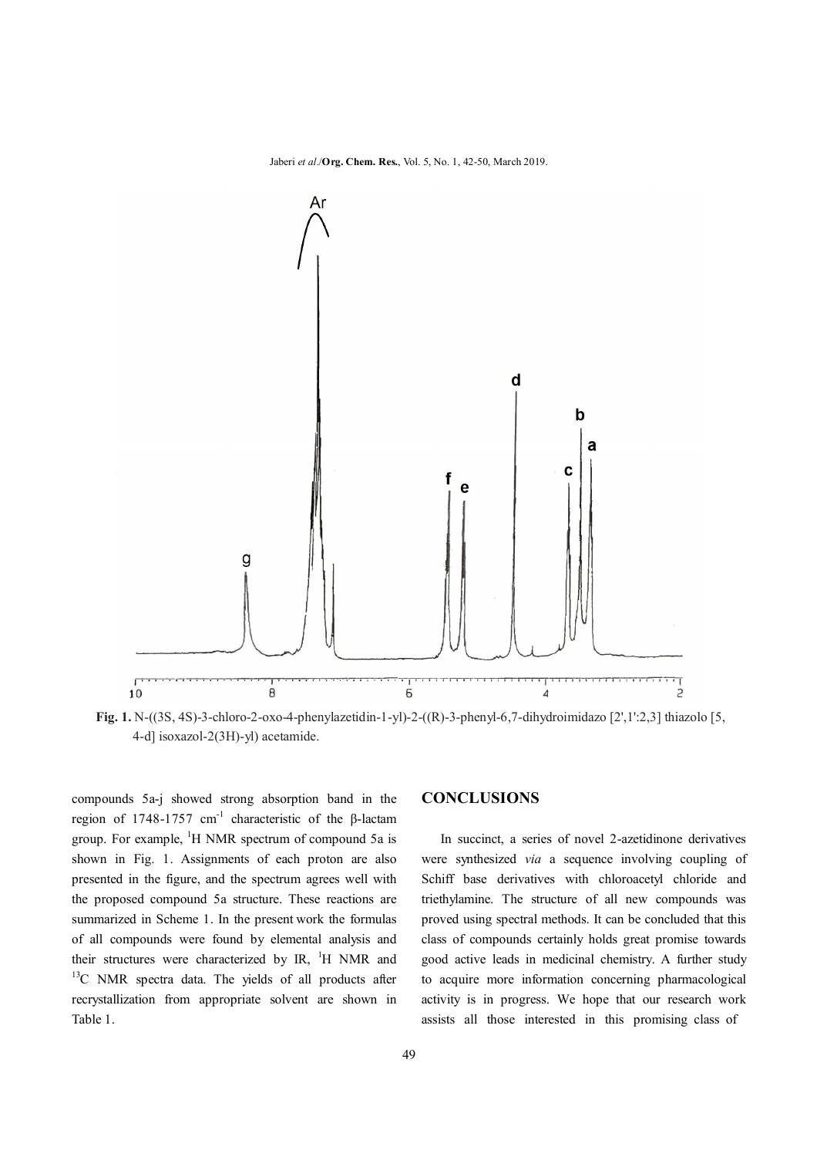Jaberi *et al*./**Org. Chem. Res.**, Vol. 5, No. 1, 42-50, March 2019.



**Fig. 1.** N-((3S, 4S)-3-chloro-2-oxo-4-phenylazetidin-1-yl)-2-((R)-3-phenyl-6,7-dihydroimidazo [2',1':2,3] thiazolo [5, 4-d] isoxazol-2(3H)-yl) acetamide.

compounds 5a-j showed strong absorption band in the region of 1748-1757 cm<sup>-1</sup> characteristic of the β-lactam group. For example, <sup>1</sup>H NMR spectrum of compound 5a is shown in Fig. 1. Assignments of each proton are also presented in the figure, and the spectrum agrees well with the proposed compound 5a structure. These reactions are summarized in Scheme 1. In the present work the formulas of all compounds were found by elemental analysis and their structures were characterized by IR,  $^1$ H NMR and <sup>13</sup>C NMR spectra data. The yields of all products after recrystallization from appropriate solvent are shown in Table 1.

#### **CONCLUSIONS**

 In succinct, a series of novel 2-azetidinone derivatives were synthesized *via* a sequence involving coupling of Schiff base derivatives with chloroacetyl chloride and triethylamine. The structure of all new compounds was proved using spectral methods. It can be concluded that this class of compounds certainly holds great promise towards good active leads in medicinal chemistry. A further study to acquire more information concerning pharmacological activity is in progress. We hope that our research work assists all those interested in this promising class of